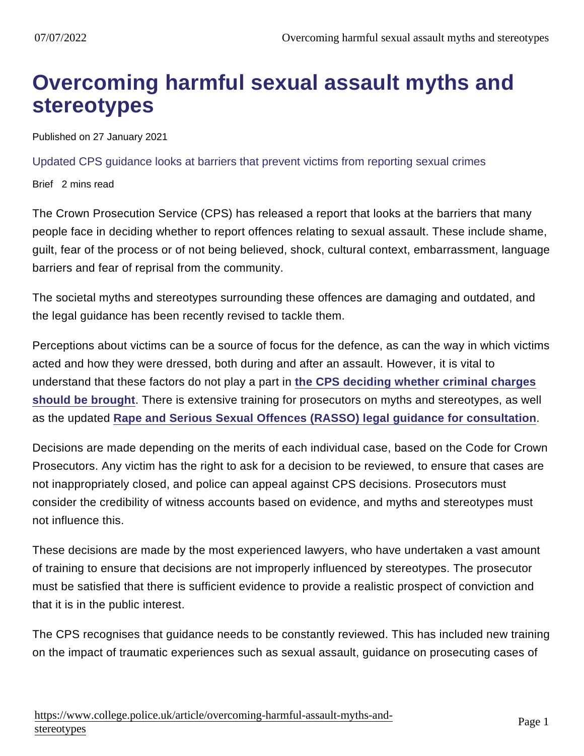## Overcoming harmful sexual assault myths and stereotypes

Published on 27 January 2021

Updated CPS guidance looks at barriers that prevent victims from reporting sexual crimes

Brief 2 mins read

The Crown Prosecution Service (CPS) has released a report that looks at the barriers that many people face in deciding whether to report offences relating to sexual assault. These include shame, guilt, fear of the process or of not being believed, shock, cultural context, embarrassment, language barriers and fear of reprisal from the community.

The societal myths and stereotypes surrounding these offences are damaging and outdated, and the legal guidance has been recently revised to tackle them.

Perceptions about victims can be a source of focus for the defence, as can the way in which victims acted and how they were dressed, both during and after an assault. However, it is vital to understand that these factors do not play a part in [the CPS deciding whether criminal charges](https://www.cps.gov.uk/cps/news/cps-says-how-were-working-overcome-harmful-rape-myths-and-stereotypes) [should be brought](https://www.cps.gov.uk/cps/news/cps-says-how-were-working-overcome-harmful-rape-myths-and-stereotypes) . There is extensive training for prosecutors on myths and stereotypes, as well as the updated [Rape and Serious Sexual Offences \(RASSO\) legal guidance for consultation](https://www.cps.gov.uk/legal-guidance/rape-and-sexual-offences-overview-and-index-2020-updated-guidance) .

Decisions are made depending on the merits of each individual case, based on the Code for Crown Prosecutors. Any victim has the right to ask for a decision to be reviewed, to ensure that cases are not inappropriately closed, and police can appeal against CPS decisions. Prosecutors must consider the credibility of witness accounts based on evidence, and myths and stereotypes must not influence this.

These decisions are made by the most experienced lawyers, who have undertaken a vast amount of training to ensure that decisions are not improperly influenced by stereotypes. The prosecutor must be satisfied that there is sufficient evidence to provide a realistic prospect of conviction and that it is in the public interest.

The CPS recognises that guidance needs to be constantly reviewed. This has included new training on the impact of traumatic experiences such as sexual assault, guidance on prosecuting cases of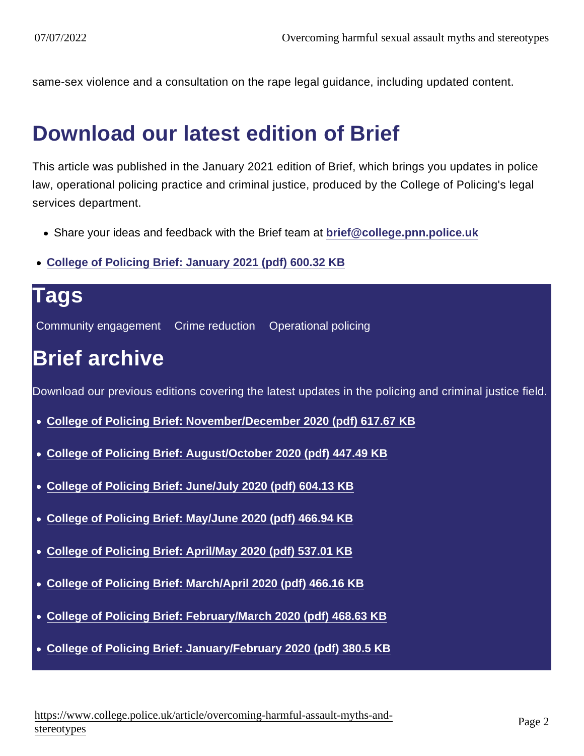same-sex violence and a consultation on the rape legal guidance, including updated content.

## Download our latest edition of Brief

This article was published in the January 2021 edition of Brief, which brings you updates in police law, operational policing practice and criminal justice, produced by the College of Policing's legal services department.

- Share your ideas and feedback with the Brief team at [brief@college.pnn.police.uk](mailto:brief@college.pnn.police.uk)
- [College of Policing Brief: January 2021 \(pdf\) 600.32 KB](https://assets.college.police.uk/s3fs-public/2021-01/College-of-Policing-Brief-January-2021.pdf)

| Tags                                                                                                   |
|--------------------------------------------------------------------------------------------------------|
| Community engagement  Crime reduction  Operational policing                                            |
| <b>Brief archive</b>                                                                                   |
| Download our previous editions covering the latest updates in the policing and criminal justice field. |
| • College of Policing Brief: November/December 2020 (pdf) 617.67 KB                                    |
| • College of Policing Brief: August/October 2020 (pdf) 447.49 KB                                       |
| • College of Policing Brief: June/July 2020 (pdf) 604.13 KB                                            |
| • College of Policing Brief: May/June 2020 (pdf) 466.94 KB                                             |
| College of Policing Brief: April/May 2020 (pdf) 537.01 KB                                              |
| College of Policing Brief: March/April 2020 (pdf) 466.16 KB<br>$\bullet$                               |
| • College of Policing Brief: February/March 2020 (pdf) 468.63 KB                                       |
| • College of Policing Brief: January/February 2020 (pdf) 380.5 KB                                      |